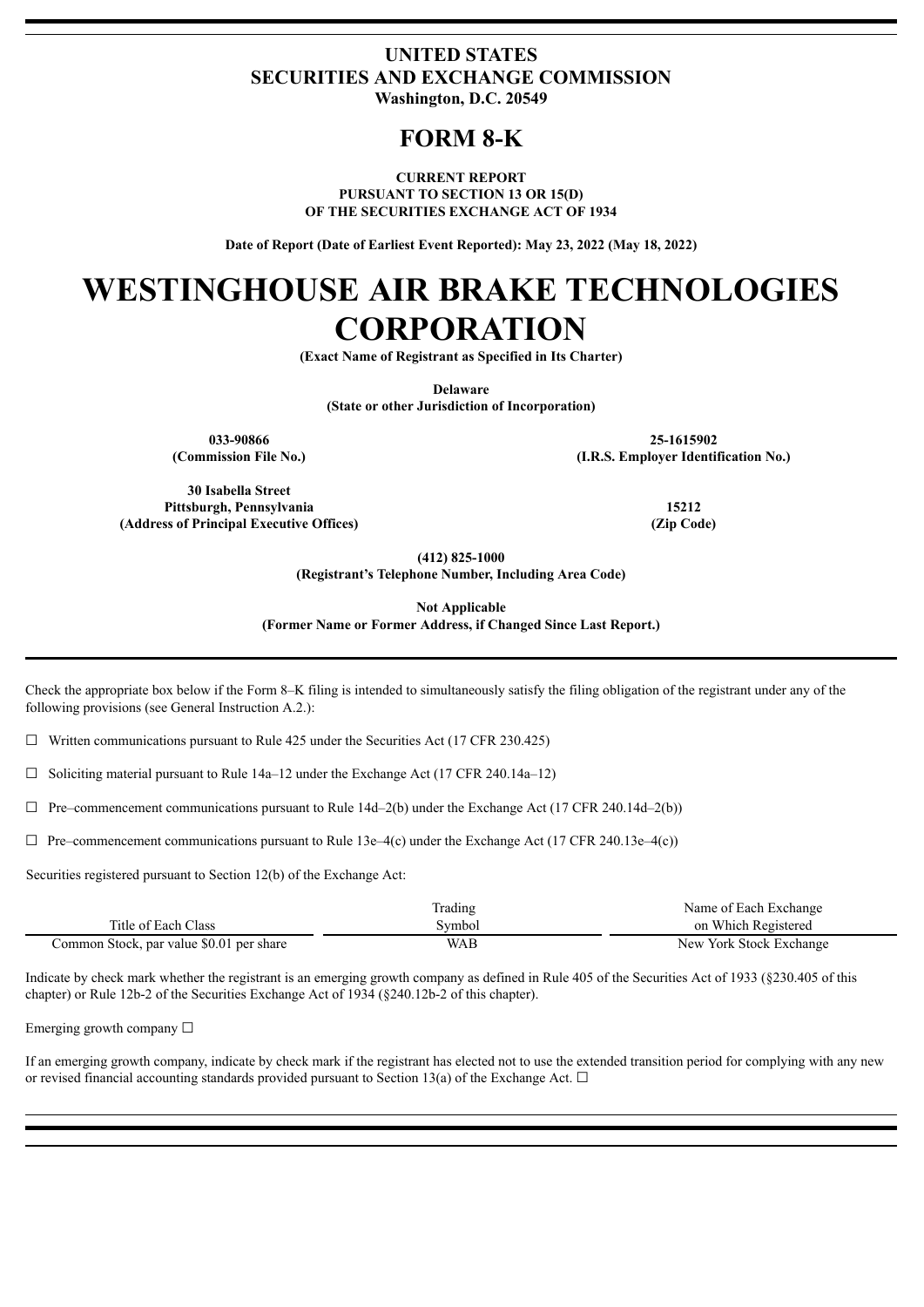### **UNITED STATES SECURITIES AND EXCHANGE COMMISSION Washington, D.C. 20549**

## **FORM 8-K**

**CURRENT REPORT PURSUANT TO SECTION 13 OR 15(D) OF THE SECURITIES EXCHANGE ACT OF 1934**

**Date of Report (Date of Earliest Event Reported): May 23, 2022 (May 18, 2022)**

# **WESTINGHOUSE AIR BRAKE TECHNOLOGIES CORPORATION**

**(Exact Name of Registrant as Specified in Its Charter)**

**Delaware**

**(State or other Jurisdiction of Incorporation)**

**033-90866 25-1615902 (Commission File No.) (I.R.S. Employer Identification No.)**

**30 Isabella Street Pittsburgh, Pennsylvania 15212**

**(412) 825-1000**

**(Registrant's Telephone Number, Including Area Code)**

**Not Applicable**

**(Former Name or Former Address, if Changed Since Last Report.)**

Check the appropriate box below if the Form 8–K filing is intended to simultaneously satisfy the filing obligation of the registrant under any of the following provisions (see General Instruction A.2.):

 $\Box$  Written communications pursuant to Rule 425 under the Securities Act (17 CFR 230.425)

 $\Box$  Soliciting material pursuant to Rule 14a–12 under the Exchange Act (17 CFR 240.14a–12)

☐ Pre–commencement communications pursuant to Rule 14d–2(b) under the Exchange Act (17 CFR 240.14d–2(b))

 $\Box$  Pre–commencement communications pursuant to Rule 13e–4(c) under the Exchange Act (17 CFR 240.13e–4(c))

Securities registered pursuant to Section 12(b) of the Exchange Act:

|                                          | Trading    | Name of Each Exchange   |
|------------------------------------------|------------|-------------------------|
| Title of Each Class                      | svmbol     | on Which Registered     |
| Common Stock, par value \$0.01 per share | <b>WAB</b> | New York Stock Exchange |

Indicate by check mark whether the registrant is an emerging growth company as defined in Rule 405 of the Securities Act of 1933 (§230.405 of this chapter) or Rule 12b-2 of the Securities Exchange Act of 1934 (§240.12b-2 of this chapter).

Emerging growth company  $\Box$ 

If an emerging growth company, indicate by check mark if the registrant has elected not to use the extended transition period for complying with any new or revised financial accounting standards provided pursuant to Section 13(a) of the Exchange Act.  $\Box$ 

**(Address of Principal Executive Offices) (Zip Code)**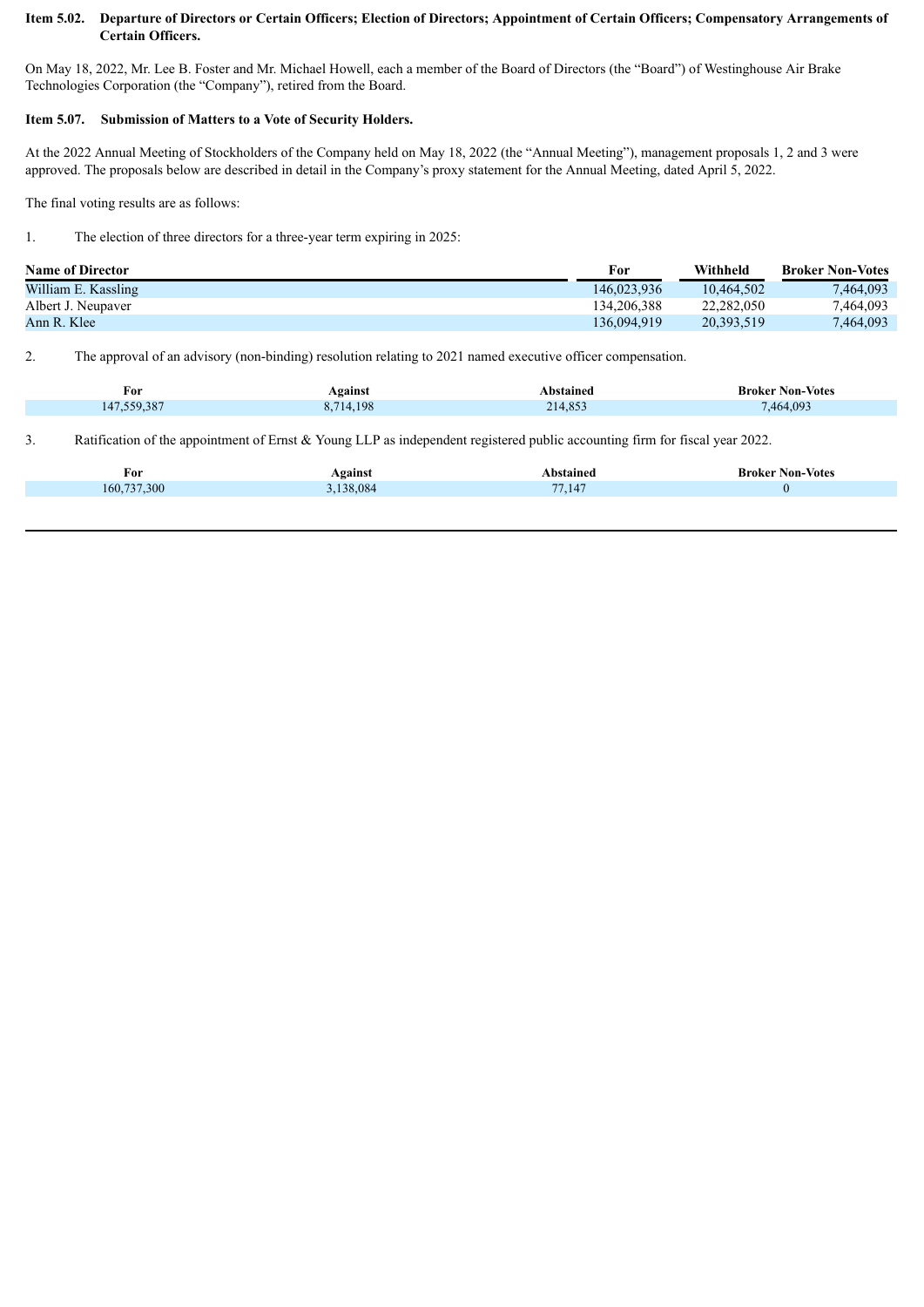#### Item 5.02. Departure of Directors or Certain Officers; Election of Directors; Appointment of Certain Officers; Compensatory Arrangements of **Certain Officers.**

On May 18, 2022, Mr. Lee B. Foster and Mr. Michael Howell, each a member of the Board of Directors (the "Board") of Westinghouse Air Brake Technologies Corporation (the "Company"), retired from the Board.

#### **Item 5.07. Submission of Matters to a Vote of Security Holders.**

At the 2022 Annual Meeting of Stockholders of the Company held on May 18, 2022 (the "Annual Meeting"), management proposals 1, 2 and 3 were approved. The proposals below are described in detail in the Company's proxy statement for the Annual Meeting, dated April 5, 2022.

The final voting results are as follows:

1. The election of three directors for a three-year term expiring in 2025:

| <b>Name of Director</b> | For         | Withheld   | <b>Broker Non-Votes</b> |
|-------------------------|-------------|------------|-------------------------|
| William E. Kassling     | 146.023.936 | 10.464.502 | 7,464,093               |
| Albert J. Neupaver      | 134.206.388 | 22.282.050 | 7,464,093               |
| Ann R. Klee             | 136.094.919 | 20.393.519 | 7.464.093               |

2. The approval of an advisory (non-binding) resolution relating to 2021 named executive officer compensation.

| †or<br>$\sim$ | Against   | Abstained | <b>Broker Non-Votes</b> |
|---------------|-----------|-----------|-------------------------|
| 147,559,387   | 8.714.198 | 214,853   | .464.093                |

3. Ratification of the appointment of Ernst & Young LLP as independent registered public accounting firm for fiscal year 2022.

| For         | Against | Abstained    | <b>Broker Non-Votes</b> |
|-------------|---------|--------------|-------------------------|
| 160,737,300 | 138,084 | 7.147<br>77. |                         |
|             |         |              |                         |